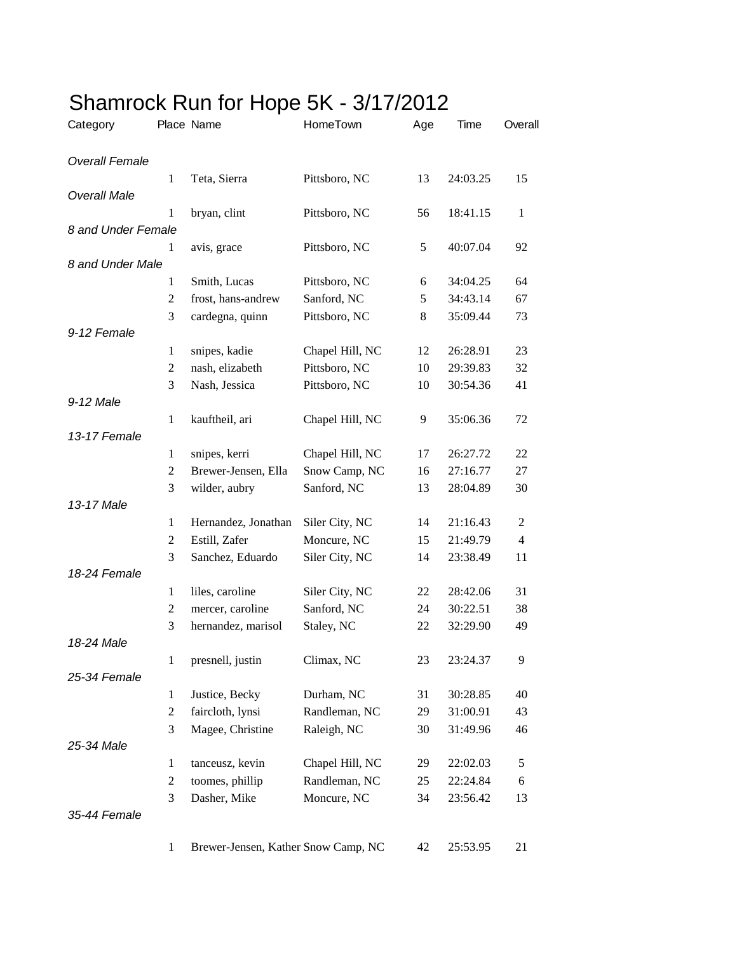| Category              |                | Place Name                          | HomeTown        | Age | Time     | Overall        |
|-----------------------|----------------|-------------------------------------|-----------------|-----|----------|----------------|
| <b>Overall Female</b> |                |                                     |                 |     |          |                |
|                       | $\mathbf{1}$   | Teta, Sierra                        | Pittsboro, NC   | 13  | 24:03.25 | 15             |
| <b>Overall Male</b>   |                |                                     |                 |     |          |                |
|                       | 1              | bryan, clint                        | Pittsboro, NC   | 56  | 18:41.15 | $\mathbf{1}$   |
| 8 and Under Female    |                |                                     |                 |     |          |                |
|                       | 1              | avis, grace                         | Pittsboro, NC   | 5   | 40:07.04 | 92             |
| 8 and Under Male      | $\mathbf{1}$   | Smith, Lucas                        | Pittsboro, NC   | 6   | 34:04.25 | 64             |
|                       | $\overline{c}$ | frost, hans-andrew                  | Sanford, NC     | 5   | 34:43.14 | 67             |
|                       | 3              | cardegna, quinn                     | Pittsboro, NC   | 8   | 35:09.44 | 73             |
| 9-12 Female           |                |                                     |                 |     |          |                |
|                       | $\mathbf{1}$   | snipes, kadie                       | Chapel Hill, NC | 12  | 26:28.91 | 23             |
|                       | 2              | nash, elizabeth                     | Pittsboro, NC   | 10  | 29:39.83 | 32             |
|                       | 3              | Nash, Jessica                       | Pittsboro, NC   | 10  | 30:54.36 | 41             |
| 9-12 Male             |                |                                     |                 |     |          |                |
|                       | $\mathbf{1}$   | kauftheil, ari                      | Chapel Hill, NC | 9   | 35:06.36 | 72             |
| 13-17 Female          |                |                                     |                 |     |          |                |
|                       | $\mathbf{1}$   | snipes, kerri                       | Chapel Hill, NC | 17  | 26:27.72 | 22             |
|                       | $\overline{c}$ | Brewer-Jensen, Ella                 | Snow Camp, NC   | 16  | 27:16.77 | 27             |
|                       | 3              | wilder, aubry                       | Sanford, NC     | 13  | 28:04.89 | 30             |
| 13-17 Male            |                |                                     |                 |     |          |                |
|                       | $\mathbf{1}$   | Hernandez, Jonathan                 | Siler City, NC  | 14  | 21:16.43 | 2              |
|                       | 2              | Estill, Zafer                       | Moncure, NC     | 15  | 21:49.79 | $\overline{4}$ |
|                       | 3              | Sanchez, Eduardo                    | Siler City, NC  | 14  | 23:38.49 | 11             |
| 18-24 Female          |                |                                     |                 |     |          |                |
|                       | $\mathbf{1}$   | liles, caroline                     | Siler City, NC  | 22  | 28:42.06 | 31             |
|                       | 2              | mercer, caroline                    | Sanford, NC     | 24  | 30:22.51 | 38             |
|                       | 3              | hernandez, marisol                  | Staley, NC      | 22  | 32:29.90 | 49             |
| 18-24 Male            |                |                                     |                 |     |          |                |
|                       | 1              | presnell, justin                    | Climax, NC      | 23  | 23:24.37 | 9              |
| 25-34 Female          |                |                                     |                 |     |          |                |
|                       | $\mathbf{1}$   | Justice, Becky                      | Durham, NC      | 31  | 30:28.85 | 40             |
|                       | $\overline{c}$ | faircloth, lynsi                    | Randleman, NC   | 29  | 31:00.91 | 43             |
| 25-34 Male            | 3              | Magee, Christine                    | Raleigh, NC     | 30  | 31:49.96 | 46             |
|                       | $\mathbf{1}$   | tanceusz, kevin                     | Chapel Hill, NC | 29  | 22:02.03 | 5              |
|                       | $\overline{c}$ | toomes, phillip                     | Randleman, NC   | 25  | 22:24.84 | 6              |
|                       | 3              | Dasher, Mike                        | Moncure, NC     | 34  | 23:56.42 | 13             |
| 35-44 Female          |                |                                     |                 |     |          |                |
|                       |                |                                     |                 |     |          |                |
|                       | 1              | Brewer-Jensen, Kather Snow Camp, NC |                 | 42  | 25:53.95 | 21             |

## Shamrock Run for Hope 5K - 3/17/2012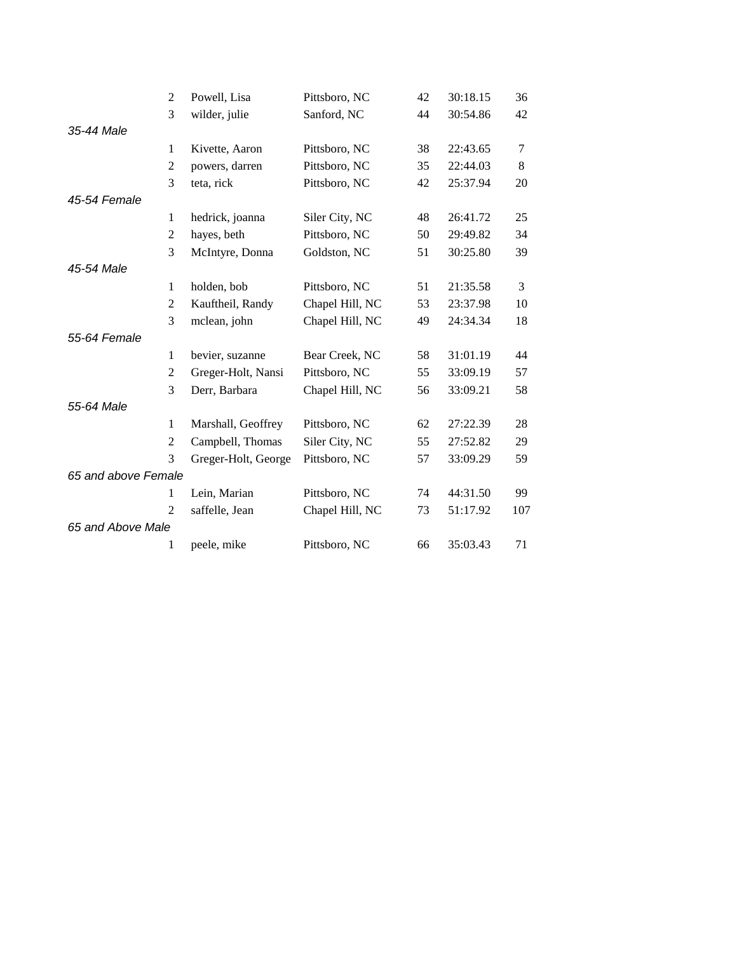|                     | $\overline{c}$ | Powell, Lisa        | Pittsboro, NC   | 42 | 30:18.15 | 36  |
|---------------------|----------------|---------------------|-----------------|----|----------|-----|
|                     | 3              | wilder, julie       | Sanford, NC     | 44 | 30:54.86 | 42  |
| 35-44 Male          |                |                     |                 |    |          |     |
|                     | $\mathbf{1}$   | Kivette, Aaron      | Pittsboro, NC   | 38 | 22:43.65 | 7   |
|                     | $\sqrt{2}$     | powers, darren      | Pittsboro, NC   | 35 | 22:44.03 | 8   |
|                     | 3              | teta, rick          | Pittsboro, NC   | 42 | 25:37.94 | 20  |
| 45-54 Female        |                |                     |                 |    |          |     |
|                     | 1              | hedrick, joanna     | Siler City, NC  | 48 | 26:41.72 | 25  |
|                     | $\mathfrak{2}$ | hayes, beth         | Pittsboro, NC   | 50 | 29:49.82 | 34  |
|                     | 3              | McIntyre, Donna     | Goldston, NC    | 51 | 30:25.80 | 39  |
| 45-54 Male          |                |                     |                 |    |          |     |
|                     | $\mathbf{1}$   | holden, bob         | Pittsboro, NC   | 51 | 21:35.58 | 3   |
|                     | $\overline{2}$ | Kauftheil, Randy    | Chapel Hill, NC | 53 | 23:37.98 | 10  |
|                     | 3              | mclean, john        | Chapel Hill, NC | 49 | 24:34.34 | 18  |
| 55-64 Female        |                |                     |                 |    |          |     |
|                     | $\mathbf{1}$   | bevier, suzanne     | Bear Creek, NC  | 58 | 31:01.19 | 44  |
|                     | $\overline{2}$ | Greger-Holt, Nansi  | Pittsboro, NC   | 55 | 33:09.19 | 57  |
|                     | 3              | Derr, Barbara       | Chapel Hill, NC | 56 | 33:09.21 | 58  |
| 55-64 Male          |                |                     |                 |    |          |     |
|                     | $\mathbf{1}$   | Marshall, Geoffrey  | Pittsboro, NC   | 62 | 27:22.39 | 28  |
|                     | $\mathfrak{2}$ | Campbell, Thomas    | Siler City, NC  | 55 | 27:52.82 | 29  |
|                     | 3              | Greger-Holt, George | Pittsboro, NC   | 57 | 33:09.29 | 59  |
| 65 and above Female |                |                     |                 |    |          |     |
|                     | 1              | Lein, Marian        | Pittsboro, NC   | 74 | 44:31.50 | 99  |
|                     | $\overline{c}$ | saffelle, Jean      | Chapel Hill, NC | 73 | 51:17.92 | 107 |
| 65 and Above Male   |                |                     |                 |    |          |     |
|                     | 1              | peele, mike         | Pittsboro, NC   | 66 | 35:03.43 | 71  |
|                     |                |                     |                 |    |          |     |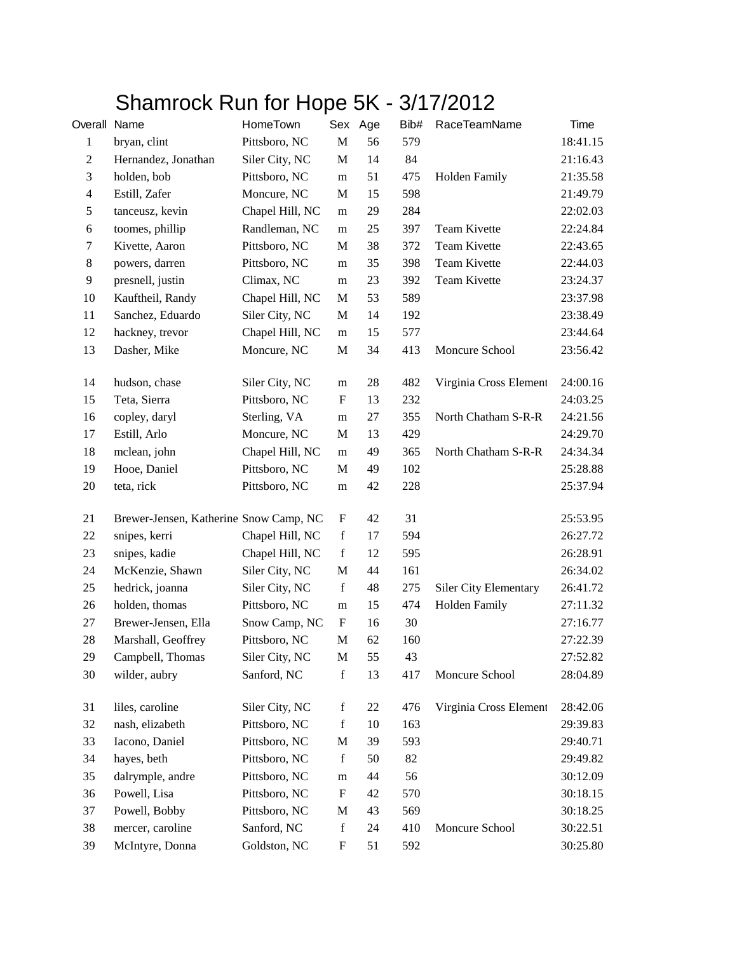## Shamrock Run for Hope 5K - 3/17/2012

| Overall Name   |                                        | HomeTown        |                           | Sex Age | Bib# | RaceTeamName                 | Time     |
|----------------|----------------------------------------|-----------------|---------------------------|---------|------|------------------------------|----------|
| $\mathbf{1}$   | bryan, clint                           | Pittsboro, NC   | $\mathbf M$               | 56      | 579  |                              | 18:41.15 |
| $\mathbf{2}$   | Hernandez, Jonathan                    | Siler City, NC  | M                         | 14      | 84   |                              | 21:16.43 |
| 3              | holden, bob                            | Pittsboro, NC   | m                         | 51      | 475  | <b>Holden Family</b>         | 21:35.58 |
| $\overline{4}$ | Estill, Zafer                          | Moncure, NC     | $\mathbf M$               | 15      | 598  |                              | 21:49.79 |
| 5              | tanceusz, kevin                        | Chapel Hill, NC | ${\bf m}$                 | 29      | 284  |                              | 22:02.03 |
| 6              | toomes, phillip                        | Randleman, NC   | ${\bf m}$                 | 25      | 397  | Team Kivette                 | 22:24.84 |
| $\tau$         | Kivette, Aaron                         | Pittsboro, NC   | M                         | 38      | 372  | Team Kivette                 | 22:43.65 |
| $8\,$          | powers, darren                         | Pittsboro, NC   | m                         | 35      | 398  | Team Kivette                 | 22:44.03 |
| 9              | presnell, justin                       | Climax, NC      | m                         | 23      | 392  | Team Kivette                 | 23:24.37 |
| 10             | Kauftheil, Randy                       | Chapel Hill, NC | M                         | 53      | 589  |                              | 23:37.98 |
| 11             | Sanchez, Eduardo                       | Siler City, NC  | $\mathbf M$               | 14      | 192  |                              | 23:38.49 |
| 12             | hackney, trevor                        | Chapel Hill, NC | ${\bf m}$                 | 15      | 577  |                              | 23:44.64 |
| 13             | Dasher, Mike                           | Moncure, NC     | M                         | 34      | 413  | Moncure School               | 23:56.42 |
| 14             | hudson, chase                          | Siler City, NC  | m                         | 28      | 482  | Virginia Cross Element       | 24:00.16 |
| 15             | Teta, Sierra                           | Pittsboro, NC   | F                         | 13      | 232  |                              | 24:03.25 |
| 16             | copley, daryl                          | Sterling, VA    | m                         | 27      | 355  | North Chatham S-R-R          | 24:21.56 |
| 17             | Estill, Arlo                           | Moncure, NC     | M                         | 13      | 429  |                              | 24:29.70 |
| 18             | mclean, john                           | Chapel Hill, NC | ${\bf m}$                 | 49      | 365  | North Chatham S-R-R          | 24:34.34 |
| 19             | Hooe, Daniel                           | Pittsboro, NC   | M                         | 49      | 102  |                              | 25:28.88 |
| $20\,$         | teta, rick                             | Pittsboro, NC   | m                         | 42      | 228  |                              | 25:37.94 |
| 21             | Brewer-Jensen, Katherine Snow Camp, NC |                 | F                         | 42      | 31   |                              | 25:53.95 |
| $22\,$         | snipes, kerri                          | Chapel Hill, NC | $\mathbf f$               | 17      | 594  |                              | 26:27.72 |
| 23             | snipes, kadie                          | Chapel Hill, NC | $\mathbf f$               | 12      | 595  |                              | 26:28.91 |
| 24             | McKenzie, Shawn                        | Siler City, NC  | $\mathbf{M}$              | 44      | 161  |                              | 26:34.02 |
| 25             | hedrick, joanna                        | Siler City, NC  | $\mathbf f$               | 48      | 275  | <b>Siler City Elementary</b> | 26:41.72 |
| 26             | holden, thomas                         | Pittsboro, NC   | ${\bf m}$                 | 15      | 474  | <b>Holden Family</b>         | 27:11.32 |
| 27             | Brewer-Jensen, Ella                    | Snow Camp, NC   | F                         | 16      | 30   |                              | 27:16.77 |
| 28             | Marshall, Geoffrey                     | Pittsboro, NC   | $\mathbf M$               | 62      | 160  |                              | 27:22.39 |
| 29             | Campbell, Thomas                       | Siler City, NC  | $\mathbf M$               | 55      | 43   |                              | 27:52.82 |
| 30             | wilder, aubry                          | Sanford, NC     | $\mathbf f$               | 13      | 417  | Moncure School               | 28:04.89 |
| 31             | liles, caroline                        | Siler City, NC  | $\mathbf f$               | 22      | 476  | Virginia Cross Element       | 28:42.06 |
| 32             | nash, elizabeth                        | Pittsboro, NC   | f                         | 10      | 163  |                              | 29:39.83 |
| 33             | Iacono, Daniel                         | Pittsboro, NC   | $\mathbf M$               | 39      | 593  |                              | 29:40.71 |
| 34             | hayes, beth                            | Pittsboro, NC   | $\mathbf f$               | 50      | 82   |                              | 29:49.82 |
| 35             | dalrymple, andre                       | Pittsboro, NC   | ${\bf m}$                 | 44      | 56   |                              | 30:12.09 |
| 36             | Powell, Lisa                           | Pittsboro, NC   | $\boldsymbol{\mathrm{F}}$ | 42      | 570  |                              | 30:18.15 |
| 37             | Powell, Bobby                          | Pittsboro, NC   | $\mathbf{M}$              | 43      | 569  |                              | 30:18.25 |
| 38             | mercer, caroline                       | Sanford, NC     | $\mathbf f$               | 24      | 410  | Moncure School               | 30:22.51 |
| 39             | McIntyre, Donna                        | Goldston, NC    | $\boldsymbol{\mathrm{F}}$ | 51      | 592  |                              | 30:25.80 |
|                |                                        |                 |                           |         |      |                              |          |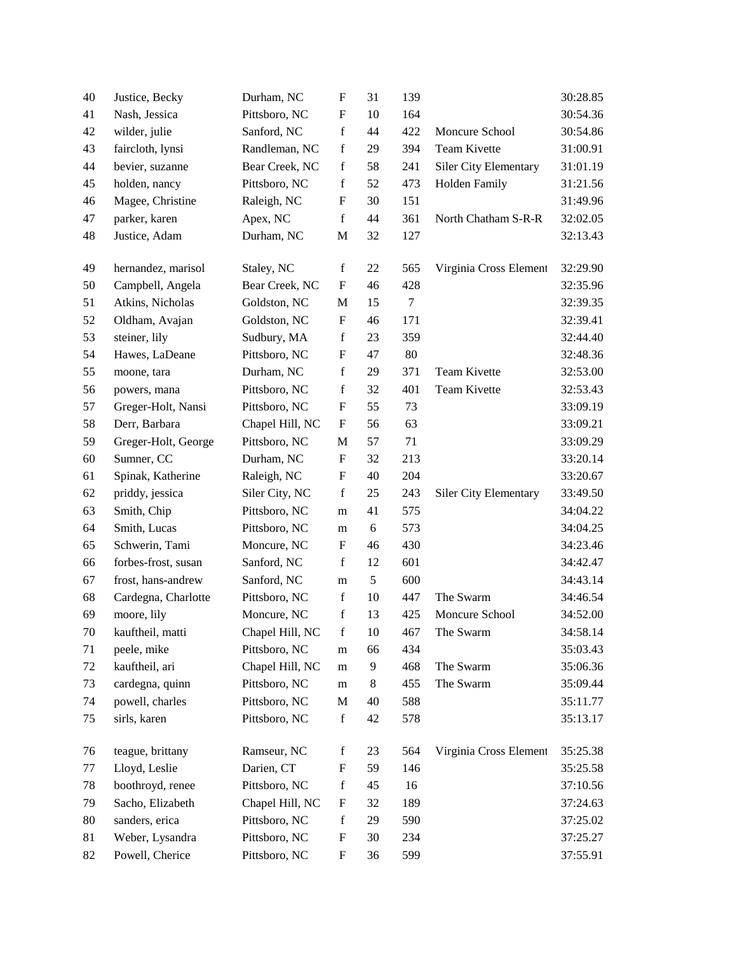| 40       | Justice, Becky      | Durham, NC                | F                               | 31 | 139    |                              | 30:28.85             |
|----------|---------------------|---------------------------|---------------------------------|----|--------|------------------------------|----------------------|
| 41       | Nash, Jessica       | Pittsboro, NC             | F                               | 10 | 164    |                              | 30:54.36             |
| 42       | wilder, julie       | Sanford, NC               | $\mathbf f$                     | 44 | 422    | Moncure School               | 30:54.86             |
| 43       | faircloth, lynsi    | Randleman, NC             | $\mathbf f$                     | 29 | 394    | Team Kivette                 | 31:00.91             |
| 44       | bevier, suzanne     | Bear Creek, NC            | $\mathbf f$                     | 58 | 241    | Siler City Elementary        | 31:01.19             |
| 45       | holden, nancy       | Pittsboro, NC             | $\mathbf f$                     | 52 | 473    | Holden Family                | 31:21.56             |
| 46       | Magee, Christine    | Raleigh, NC               | F                               | 30 | 151    |                              | 31:49.96             |
| 47       | parker, karen       | Apex, NC                  | $\mathbf f$                     | 44 | 361    | North Chatham S-R-R          | 32:02.05             |
| 48       | Justice, Adam       | Durham, NC                | M                               | 32 | 127    |                              | 32:13.43             |
|          |                     |                           |                                 |    |        |                              |                      |
| 49       | hernandez, marisol  | Staley, NC                | $\mathbf f$                     | 22 | 565    | Virginia Cross Element       | 32:29.90             |
| 50       | Campbell, Angela    | Bear Creek, NC            | F                               | 46 | 428    |                              | 32:35.96             |
| 51       | Atkins, Nicholas    | Goldston, NC              | M                               | 15 | $\tau$ |                              | 32:39.35             |
| 52       | Oldham, Avajan      | Goldston, NC              | $\boldsymbol{\mathrm{F}}$       | 46 | 171    |                              | 32:39.41             |
| 53       | steiner, lily       | Sudbury, MA               | $\mathbf f$                     | 23 | 359    |                              | 32:44.40             |
| 54       | Hawes, LaDeane      | Pittsboro, NC             | $\mathbf{F}$                    | 47 | 80     |                              | 32:48.36             |
| 55       | moone, tara         | Durham, NC                | $\mathbf f$                     | 29 | 371    | Team Kivette                 | 32:53.00             |
| 56       | powers, mana        | Pittsboro, NC             | $\mathbf f$                     | 32 | 401    | Team Kivette                 | 32:53.43             |
| 57       | Greger-Holt, Nansi  | Pittsboro, NC             | $\mathbf{F}$                    | 55 | 73     |                              | 33:09.19             |
| 58       | Derr, Barbara       | Chapel Hill, NC           | F                               | 56 | 63     |                              | 33:09.21             |
| 59       | Greger-Holt, George | Pittsboro, NC             | $\mathbf M$                     | 57 | 71     |                              | 33:09.29             |
| 60       | Sumner, CC          | Durham, NC                | F                               | 32 | 213    |                              | 33:20.14             |
| 61       | Spinak, Katherine   | Raleigh, NC               | F                               | 40 | 204    |                              | 33:20.67             |
| 62       | priddy, jessica     | Siler City, NC            | $\mathbf f$                     | 25 | 243    | <b>Siler City Elementary</b> | 33:49.50             |
| 63       | Smith, Chip         | Pittsboro, NC             | m                               | 41 | 575    |                              | 34:04.22             |
| 64       | Smith, Lucas        | Pittsboro, NC             | m                               | 6  | 573    |                              | 34:04.25             |
| 65       | Schwerin, Tami      | Moncure, NC               | F                               | 46 | 430    |                              | 34:23.46             |
| 66       | forbes-frost, susan | Sanford, NC               | f                               | 12 | 601    |                              | 34:42.47             |
| 67       | frost, hans-andrew  | Sanford, NC               | m                               | 5  | 600    |                              | 34:43.14             |
| 68       | Cardegna, Charlotte | Pittsboro, NC             | f                               | 10 | 447    | The Swarm                    | 34:46.54             |
| 69       | moore, lily         | Moncure, NC               | $\mathbf f$                     | 13 | 425    | Moncure School               | 34:52.00             |
| $70\,$   | kauftheil, matti    | Chapel Hill, NC           | $\mathbf f$                     | 10 | 467    | The Swarm                    | 34:58.14             |
| 71       | peele, mike         | Pittsboro, NC             | m                               | 66 | 434    |                              | 35:03.43             |
| 72       | kauftheil, ari      | Chapel Hill, NC           | m                               | 9  | 468    | The Swarm                    | 35:06.36             |
| 73       | cardegna, quinn     | Pittsboro, NC             | m                               | 8  | 455    | The Swarm                    | 35:09.44             |
| 74       | powell, charles     | Pittsboro, NC             | M                               | 40 | 588    |                              | 35:11.77             |
| 75       | sirls, karen        | Pittsboro, NC             | $\mathbf f$                     | 42 | 578    |                              | 35:13.17             |
|          |                     |                           |                                 |    |        | Virginia Cross Element       |                      |
| 76       | teague, brittany    | Ramseur, NC<br>Darien, CT | $\mathbf f$<br>$\boldsymbol{F}$ | 23 | 564    |                              | 35:25.38<br>35:25.58 |
| 77       | Lloyd, Leslie       |                           | $\mathbf f$                     | 59 | 146    |                              |                      |
| 78<br>79 | boothroyd, renee    | Pittsboro, NC             | $\boldsymbol{\mathrm{F}}$       | 45 | 16     |                              | 37:10.56             |
|          | Sacho, Elizabeth    | Chapel Hill, NC           | $\mathbf f$                     | 32 | 189    |                              | 37:24.63             |
| 80<br>81 | sanders, erica      | Pittsboro, NC             | $\boldsymbol{\mathrm{F}}$       | 29 | 590    |                              | 37:25.02<br>37:25.27 |
|          | Weber, Lysandra     | Pittsboro, NC             |                                 | 30 | 234    |                              |                      |
| 82       | Powell, Cherice     | Pittsboro, NC             | $\boldsymbol{\mathrm{F}}$       | 36 | 599    |                              | 37:55.91             |